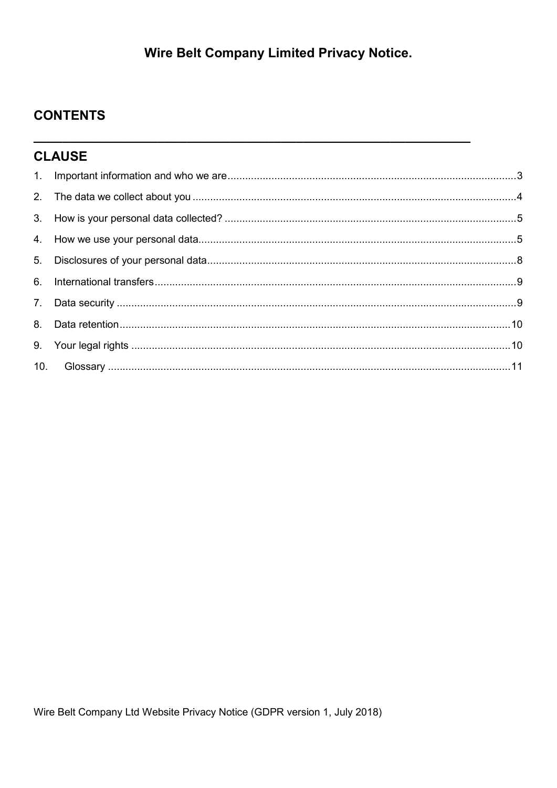# **Wire Belt Company Limited Privacy Notice.**

## **CONTENTS**

| <b>CLAUSE</b> |  |  |  |
|---------------|--|--|--|
|               |  |  |  |
|               |  |  |  |
|               |  |  |  |
|               |  |  |  |
|               |  |  |  |
|               |  |  |  |
|               |  |  |  |
|               |  |  |  |
|               |  |  |  |
|               |  |  |  |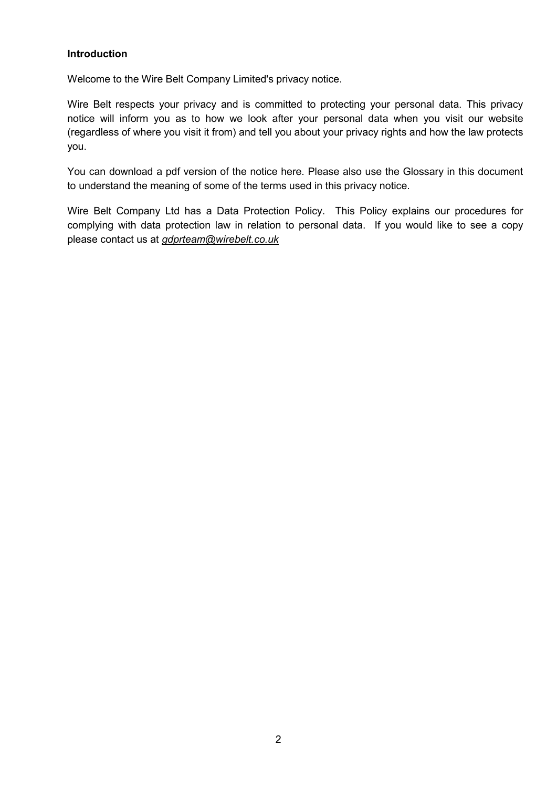## Introduction

Welcome to the Wire Belt Company Limited's privacy notice.

Wire Belt respects your privacy and is committed to protecting your personal data. This privacy notice will inform you as to how we look after your personal data when you visit our website (regardless of where you visit it from) and tell you about your privacy rights and how the law protects you.

You can download a pdf version of the notice here. Please also use the Glossary in this document to understand the meaning of some of the terms used in this privacy notice.

Wire Belt Company Ltd has a Data Protection Policy. This Policy explains our procedures for complying with data protection law in relation to personal data. If you would like to see a copy please contact us at *gdprteam@wirebelt.co.uk*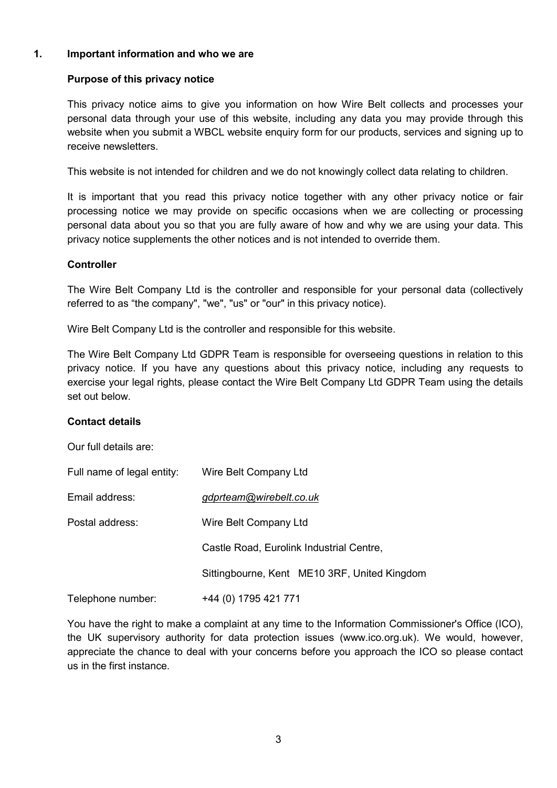## 1. Important information and who we are

## Purpose of this privacy notice

This privacy notice aims to give you information on how Wire Belt collects and processes your personal data through your use of this website, including any data you may provide through this website when you submit a WBCL website enquiry form for our products, services and signing up to receive newsletters.

This website is not intended for children and we do not knowingly collect data relating to children.

It is important that you read this privacy notice together with any other privacy notice or fair processing notice we may provide on specific occasions when we are collecting or processing personal data about you so that you are fully aware of how and why we are using your data. This privacy notice supplements the other notices and is not intended to override them.

## **Controller**

The Wire Belt Company Ltd is the controller and responsible for your personal data (collectively referred to as "the company", "we", "us" or "our" in this privacy notice).

Wire Belt Company Ltd is the controller and responsible for this website.

The Wire Belt Company Ltd GDPR Team is responsible for overseeing questions in relation to this privacy notice. If you have any questions about this privacy notice, including any requests to exercise your legal rights, please contact the Wire Belt Company Ltd GDPR Team using the details set out below.

## Contact details

Our full details are:

| Full name of legal entity: | Wire Belt Company Ltd                        |  |
|----------------------------|----------------------------------------------|--|
| Email address:             | gdprteam@wirebelt.co.uk                      |  |
| Postal address:            | Wire Belt Company Ltd                        |  |
|                            | Castle Road, Eurolink Industrial Centre,     |  |
|                            | Sittingbourne, Kent ME10 3RF, United Kingdom |  |
| Telephone number:          | +44 (0) 1795 421 771                         |  |

You have the right to make a complaint at any time to the Information Commissioner's Office (ICO), the UK supervisory authority for data protection issues (www.ico.org.uk). We would, however, appreciate the chance to deal with your concerns before you approach the ICO so please contact us in the first instance.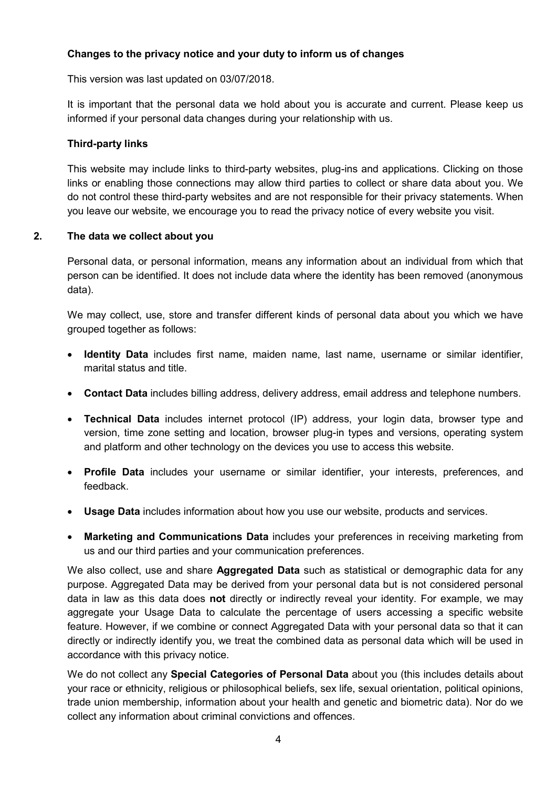## Changes to the privacy notice and your duty to inform us of changes

This version was last updated on 03/07/2018.

It is important that the personal data we hold about you is accurate and current. Please keep us informed if your personal data changes during your relationship with us.

## Third-party links

This website may include links to third-party websites, plug-ins and applications. Clicking on those links or enabling those connections may allow third parties to collect or share data about you. We do not control these third-party websites and are not responsible for their privacy statements. When you leave our website, we encourage you to read the privacy notice of every website you visit.

## 2. The data we collect about you

Personal data, or personal information, means any information about an individual from which that person can be identified. It does not include data where the identity has been removed (anonymous data).

We may collect, use, store and transfer different kinds of personal data about you which we have grouped together as follows:

- Identity Data includes first name, maiden name, last name, username or similar identifier, marital status and title.
- **Contact Data** includes billing address, delivery address, email address and telephone numbers.
- Technical Data includes internet protocol (IP) address, your login data, browser type and version, time zone setting and location, browser plug-in types and versions, operating system and platform and other technology on the devices you use to access this website.
- Profile Data includes your username or similar identifier, your interests, preferences, and feedback.
- Usage Data includes information about how you use our website, products and services.
- Marketing and Communications Data includes your preferences in receiving marketing from us and our third parties and your communication preferences.

We also collect, use and share **Aggregated Data** such as statistical or demographic data for any purpose. Aggregated Data may be derived from your personal data but is not considered personal data in law as this data does not directly or indirectly reveal your identity. For example, we may aggregate your Usage Data to calculate the percentage of users accessing a specific website feature. However, if we combine or connect Aggregated Data with your personal data so that it can directly or indirectly identify you, we treat the combined data as personal data which will be used in accordance with this privacy notice.

We do not collect any **Special Categories of Personal Data** about you (this includes details about your race or ethnicity, religious or philosophical beliefs, sex life, sexual orientation, political opinions, trade union membership, information about your health and genetic and biometric data). Nor do we collect any information about criminal convictions and offences.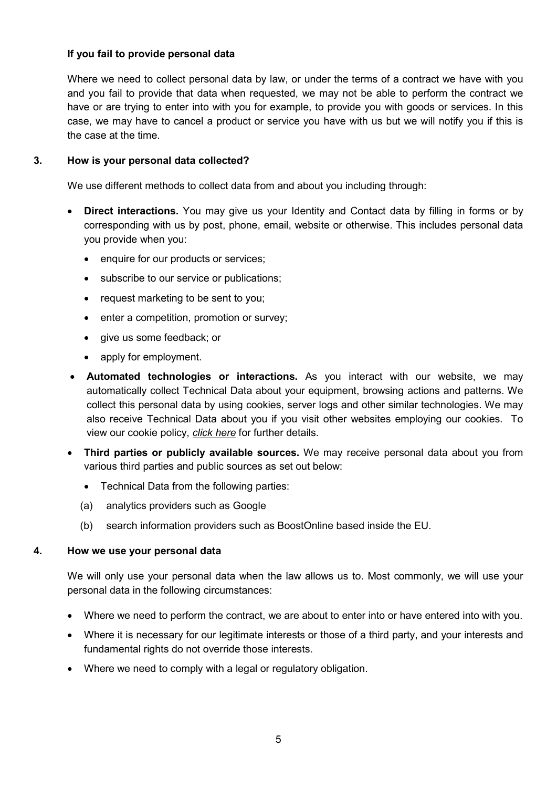## If you fail to provide personal data

Where we need to collect personal data by law, or under the terms of a contract we have with you and you fail to provide that data when requested, we may not be able to perform the contract we have or are trying to enter into with you for example, to provide you with goods or services. In this case, we may have to cancel a product or service you have with us but we will notify you if this is the case at the time.

## 3. How is your personal data collected?

We use different methods to collect data from and about you including through:

- Direct interactions. You may give us your Identity and Contact data by filling in forms or by corresponding with us by post, phone, email, website or otherwise. This includes personal data you provide when you:
	- enquire for our products or services;
	- subscribe to our service or publications;
	- request marketing to be sent to you;
	- enter a competition, promotion or survey;
	- give us some feedback; or
	- apply for employment.
- Automated technologies or interactions. As you interact with our website, we may automatically collect Technical Data about your equipment, browsing actions and patterns. We collect this personal data by using cookies, server logs and other similar technologies. We may also receive Technical Data about you if you visit other websites employing our cookies. To view our cookie policy, click here for further details.
- Third parties or publicly available sources. We may receive personal data about you from various third parties and public sources as set out below:
	- Technical Data from the following parties:
	- (a) analytics providers such as Google
	- (b) search information providers such as BoostOnline based inside the EU.

## 4. How we use your personal data

We will only use your personal data when the law allows us to. Most commonly, we will use your personal data in the following circumstances:

- Where we need to perform the contract, we are about to enter into or have entered into with you.
- Where it is necessary for our legitimate interests or those of a third party, and your interests and fundamental rights do not override those interests.
- Where we need to comply with a legal or regulatory obligation.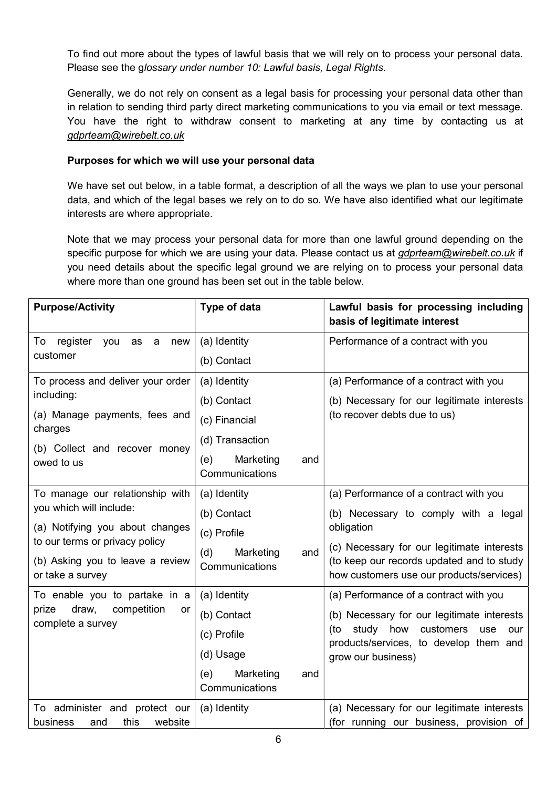To find out more about the types of lawful basis that we will rely on to process your personal data. Please see the glossary under number 10: Lawful basis, Legal Rights.

Generally, we do not rely on consent as a legal basis for processing your personal data other than in relation to sending third party direct marketing communications to you via email or text message. You have the right to withdraw consent to marketing at any time by contacting us at gdprteam@wirebelt.co.uk

## Purposes for which we will use your personal data

We have set out below, in a table format, a description of all the ways we plan to use your personal data, and which of the legal bases we rely on to do so. We have also identified what our legitimate interests are where appropriate.

Note that we may process your personal data for more than one lawful ground depending on the specific purpose for which we are using your data. Please contact us at gdprteam@wirebelt.co.uk if you need details about the specific legal ground we are relying on to process your personal data where more than one ground has been set out in the table below.

| <b>Purpose/Activity</b>                                                                                                   | Type of data                              | Lawful basis for processing including<br>basis of legitimate interest                                                               |
|---------------------------------------------------------------------------------------------------------------------------|-------------------------------------------|-------------------------------------------------------------------------------------------------------------------------------------|
| To<br>register<br>you<br>as<br>a<br>new<br>customer                                                                       | (a) Identity                              | Performance of a contract with you                                                                                                  |
|                                                                                                                           | (b) Contact                               |                                                                                                                                     |
| To process and deliver your order                                                                                         | (a) Identity                              | (a) Performance of a contract with you                                                                                              |
| including:                                                                                                                | (b) Contact                               | (b) Necessary for our legitimate interests                                                                                          |
| (a) Manage payments, fees and<br>charges                                                                                  | (c) Financial                             | (to recover debts due to us)                                                                                                        |
| (b) Collect and recover money                                                                                             | (d) Transaction                           |                                                                                                                                     |
| owed to us                                                                                                                | (e)<br>Marketing<br>and<br>Communications |                                                                                                                                     |
| To manage our relationship with                                                                                           | (a) Identity                              | (a) Performance of a contract with you                                                                                              |
| you which will include:                                                                                                   | (b) Contact                               | (b) Necessary to comply with a legal                                                                                                |
| (a) Notifying you about changes<br>to our terms or privacy policy<br>(b) Asking you to leave a review<br>or take a survey | (c) Profile                               | obligation                                                                                                                          |
|                                                                                                                           | (d)<br>Marketing<br>and<br>Communications | (c) Necessary for our legitimate interests<br>(to keep our records updated and to study<br>how customers use our products/services) |
| To enable you to partake in a                                                                                             | (a) Identity                              | (a) Performance of a contract with you                                                                                              |
| prize<br>draw,<br>competition<br>or<br>complete a survey                                                                  | (b) Contact                               | (b) Necessary for our legitimate interests                                                                                          |
|                                                                                                                           | (c) Profile                               | (to study how<br>customers<br>use<br>our<br>products/services, to develop them and                                                  |
|                                                                                                                           | (d) Usage                                 | grow our business)                                                                                                                  |
|                                                                                                                           | Marketing<br>(e)<br>and<br>Communications |                                                                                                                                     |
| To administer and protect our                                                                                             | (a) Identity                              | (a) Necessary for our legitimate interests                                                                                          |
| website<br>business<br>this<br>and                                                                                        |                                           | (for running our business, provision of                                                                                             |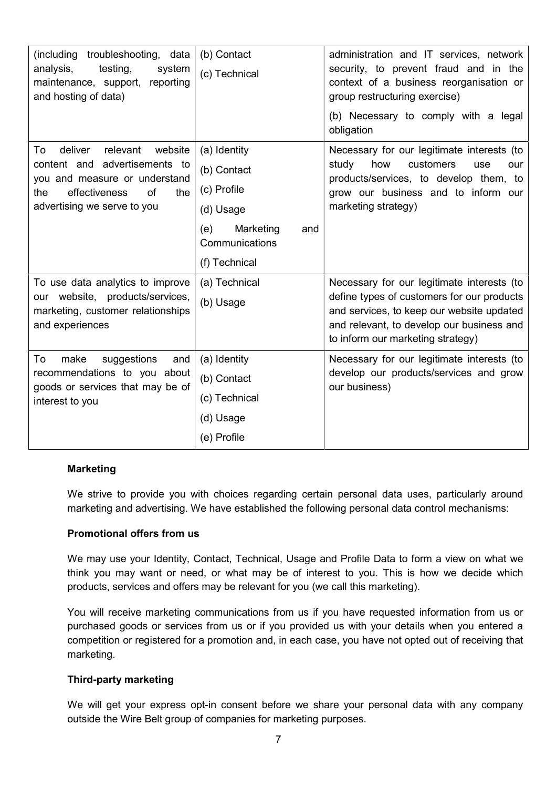| (including troubleshooting, data<br>analysis,<br>testing,<br>system<br>maintenance, support, reporting<br>and hosting of data)                                             | (b) Contact<br>(c) Technical                                                                                          | administration and IT services, network<br>security, to prevent fraud and in the<br>context of a business reorganisation or<br>group restructuring exercise)<br>(b) Necessary to comply with a legal<br>obligation      |
|----------------------------------------------------------------------------------------------------------------------------------------------------------------------------|-----------------------------------------------------------------------------------------------------------------------|-------------------------------------------------------------------------------------------------------------------------------------------------------------------------------------------------------------------------|
| deliver<br>relevant<br>website<br>To<br>content and advertisements to<br>you and measure or understand<br>effectiveness<br>of<br>the<br>the<br>advertising we serve to you | (a) Identity<br>(b) Contact<br>(c) Profile<br>(d) Usage<br>Marketing<br>(e)<br>and<br>Communications<br>(f) Technical | Necessary for our legitimate interests (to<br>customers<br>study<br>how<br>use<br>our<br>products/services, to develop them, to<br>grow our business and to inform our<br>marketing strategy)                           |
| To use data analytics to improve<br>our website, products/services,<br>marketing, customer relationships<br>and experiences                                                | (a) Technical<br>(b) Usage                                                                                            | Necessary for our legitimate interests (to<br>define types of customers for our products<br>and services, to keep our website updated<br>and relevant, to develop our business and<br>to inform our marketing strategy) |
| To<br>make<br>suggestions<br>and<br>recommendations to you about<br>goods or services that may be of<br>interest to you                                                    | (a) Identity<br>(b) Contact<br>(c) Technical<br>(d) Usage<br>(e) Profile                                              | Necessary for our legitimate interests (to<br>develop our products/services and grow<br>our business)                                                                                                                   |

## Marketing

We strive to provide you with choices regarding certain personal data uses, particularly around marketing and advertising. We have established the following personal data control mechanisms:

## Promotional offers from us

We may use your Identity, Contact, Technical, Usage and Profile Data to form a view on what we think you may want or need, or what may be of interest to you. This is how we decide which products, services and offers may be relevant for you (we call this marketing).

You will receive marketing communications from us if you have requested information from us or purchased goods or services from us or if you provided us with your details when you entered a competition or registered for a promotion and, in each case, you have not opted out of receiving that marketing.

## Third-party marketing

We will get your express opt-in consent before we share your personal data with any company outside the Wire Belt group of companies for marketing purposes.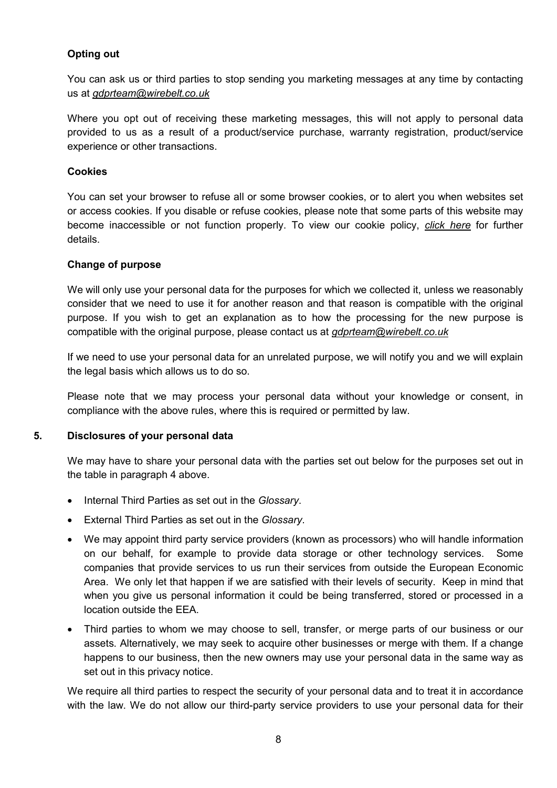## Opting out

You can ask us or third parties to stop sending you marketing messages at any time by contacting us at gdprteam@wirebelt.co.uk

Where you opt out of receiving these marketing messages, this will not apply to personal data provided to us as a result of a product/service purchase, warranty registration, product/service experience or other transactions.

## **Cookies**

You can set your browser to refuse all or some browser cookies, or to alert you when websites set or access cookies. If you disable or refuse cookies, please note that some parts of this website may become inaccessible or not function properly. To view our cookie policy, click here for further details.

#### Change of purpose

We will only use your personal data for the purposes for which we collected it, unless we reasonably consider that we need to use it for another reason and that reason is compatible with the original purpose. If you wish to get an explanation as to how the processing for the new purpose is compatible with the original purpose, please contact us at gdprteam@wirebelt.co.uk

If we need to use your personal data for an unrelated purpose, we will notify you and we will explain the legal basis which allows us to do so.

Please note that we may process your personal data without your knowledge or consent, in compliance with the above rules, where this is required or permitted by law.

## 5. Disclosures of your personal data

We may have to share your personal data with the parties set out below for the purposes set out in the table in paragraph 4 above.

- Internal Third Parties as set out in the Glossary.
- External Third Parties as set out in the Glossary.
- We may appoint third party service providers (known as processors) who will handle information on our behalf, for example to provide data storage or other technology services. Some companies that provide services to us run their services from outside the European Economic Area. We only let that happen if we are satisfied with their levels of security. Keep in mind that when you give us personal information it could be being transferred, stored or processed in a location outside the EEA.
- Third parties to whom we may choose to sell, transfer, or merge parts of our business or our assets. Alternatively, we may seek to acquire other businesses or merge with them. If a change happens to our business, then the new owners may use your personal data in the same way as set out in this privacy notice.

We require all third parties to respect the security of your personal data and to treat it in accordance with the law. We do not allow our third-party service providers to use your personal data for their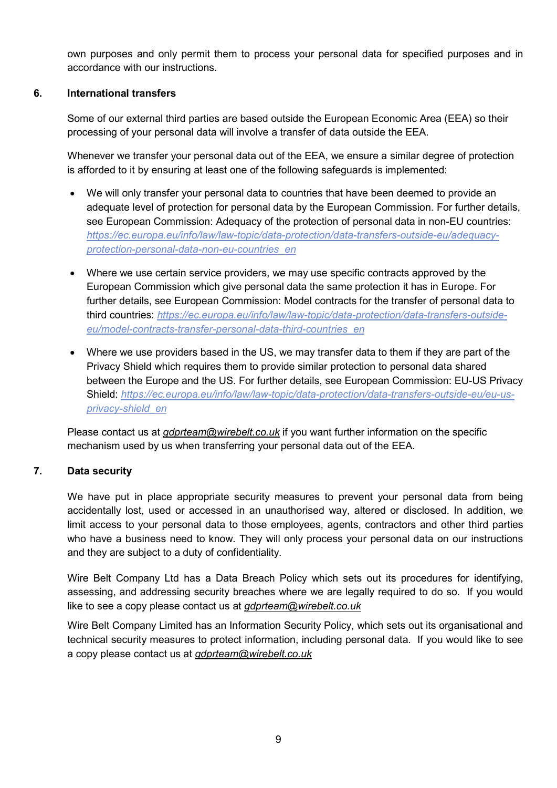own purposes and only permit them to process your personal data for specified purposes and in accordance with our instructions.

## 6. International transfers

Some of our external third parties are based outside the European Economic Area (EEA) so their processing of your personal data will involve a transfer of data outside the EEA.

Whenever we transfer your personal data out of the EEA, we ensure a similar degree of protection is afforded to it by ensuring at least one of the following safeguards is implemented:

- We will only transfer your personal data to countries that have been deemed to provide an adequate level of protection for personal data by the European Commission. For further details, see European Commission: Adequacy of the protection of personal data in non-EU countries: https://ec.europa.eu/info/law/law-topic/data-protection/data-transfers-outside-eu/adequacyprotection-personal-data-non-eu-countries\_en
- Where we use certain service providers, we may use specific contracts approved by the European Commission which give personal data the same protection it has in Europe. For further details, see European Commission: Model contracts for the transfer of personal data to third countries: https://ec.europa.eu/info/law/law-topic/data-protection/data-transfers-outsideeu/model-contracts-transfer-personal-data-third-countries\_en
- Where we use providers based in the US, we may transfer data to them if they are part of the Privacy Shield which requires them to provide similar protection to personal data shared between the Europe and the US. For further details, see European Commission: EU-US Privacy Shield: https://ec.europa.eu/info/law/law-topic/data-protection/data-transfers-outside-eu/eu-usprivacy-shield\_en

Please contact us at gdprteam@wirebelt.co.uk if you want further information on the specific mechanism used by us when transferring your personal data out of the EEA.

## 7. Data security

We have put in place appropriate security measures to prevent your personal data from being accidentally lost, used or accessed in an unauthorised way, altered or disclosed. In addition, we limit access to your personal data to those employees, agents, contractors and other third parties who have a business need to know. They will only process your personal data on our instructions and they are subject to a duty of confidentiality.

Wire Belt Company Ltd has a Data Breach Policy which sets out its procedures for identifying, assessing, and addressing security breaches where we are legally required to do so. If you would like to see a copy please contact us at *gdprteam@wirebelt.co.uk* 

Wire Belt Company Limited has an Information Security Policy, which sets out its organisational and technical security measures to protect information, including personal data. If you would like to see a copy please contact us at gdprteam@wirebelt.co.uk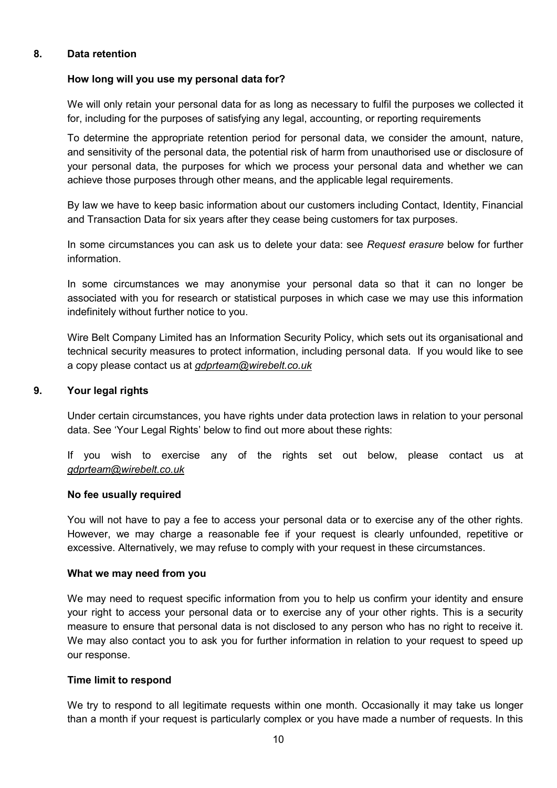## 8. Data retention

## How long will you use my personal data for?

We will only retain your personal data for as long as necessary to fulfil the purposes we collected it for, including for the purposes of satisfying any legal, accounting, or reporting requirements

To determine the appropriate retention period for personal data, we consider the amount, nature, and sensitivity of the personal data, the potential risk of harm from unauthorised use or disclosure of your personal data, the purposes for which we process your personal data and whether we can achieve those purposes through other means, and the applicable legal requirements.

By law we have to keep basic information about our customers including Contact, Identity, Financial and Transaction Data for six years after they cease being customers for tax purposes.

In some circumstances you can ask us to delete your data: see Request erasure below for further information.

In some circumstances we may anonymise your personal data so that it can no longer be associated with you for research or statistical purposes in which case we may use this information indefinitely without further notice to you.

Wire Belt Company Limited has an Information Security Policy, which sets out its organisational and technical security measures to protect information, including personal data. If you would like to see a copy please contact us at gdprteam@wirebelt.co.uk

## 9. Your legal rights

Under certain circumstances, you have rights under data protection laws in relation to your personal data. See 'Your Legal Rights' below to find out more about these rights:

If you wish to exercise any of the rights set out below, please contact us at gdprteam@wirebelt.co.uk

## No fee usually required

You will not have to pay a fee to access your personal data or to exercise any of the other rights. However, we may charge a reasonable fee if your request is clearly unfounded, repetitive or excessive. Alternatively, we may refuse to comply with your request in these circumstances.

## What we may need from you

We may need to request specific information from you to help us confirm your identity and ensure your right to access your personal data or to exercise any of your other rights. This is a security measure to ensure that personal data is not disclosed to any person who has no right to receive it. We may also contact you to ask you for further information in relation to your request to speed up our response.

## Time limit to respond

We try to respond to all legitimate requests within one month. Occasionally it may take us longer than a month if your request is particularly complex or you have made a number of requests. In this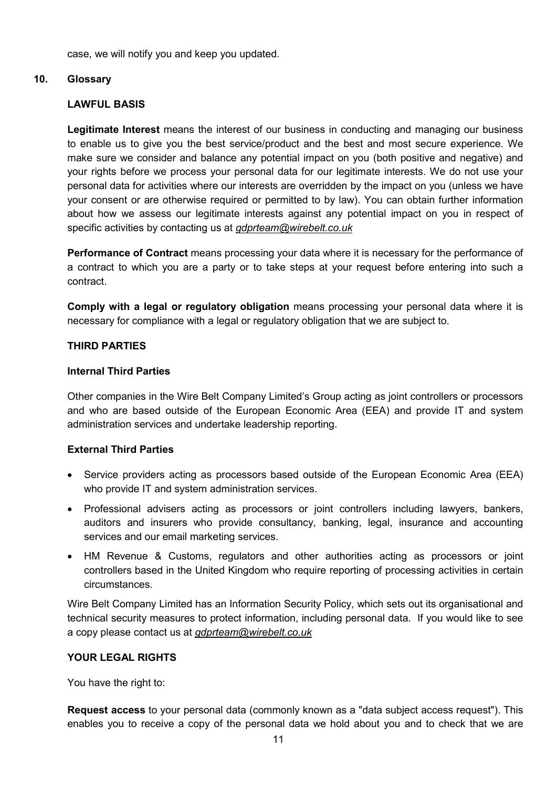case, we will notify you and keep you updated.

## 10. Glossary

## LAWFUL BASIS

Legitimate Interest means the interest of our business in conducting and managing our business to enable us to give you the best service/product and the best and most secure experience. We make sure we consider and balance any potential impact on you (both positive and negative) and your rights before we process your personal data for our legitimate interests. We do not use your personal data for activities where our interests are overridden by the impact on you (unless we have your consent or are otherwise required or permitted to by law). You can obtain further information about how we assess our legitimate interests against any potential impact on you in respect of specific activities by contacting us at *gdprteam@wirebelt.co.uk* 

Performance of Contract means processing your data where it is necessary for the performance of a contract to which you are a party or to take steps at your request before entering into such a contract.

Comply with a legal or regulatory obligation means processing your personal data where it is necessary for compliance with a legal or regulatory obligation that we are subject to.

## THIRD PARTIES

## Internal Third Parties

Other companies in the Wire Belt Company Limited's Group acting as joint controllers or processors and who are based outside of the European Economic Area (EEA) and provide IT and system administration services and undertake leadership reporting.

## External Third Parties

- Service providers acting as processors based outside of the European Economic Area (EEA) who provide IT and system administration services.
- Professional advisers acting as processors or joint controllers including lawyers, bankers, auditors and insurers who provide consultancy, banking, legal, insurance and accounting services and our email marketing services.
- HM Revenue & Customs, regulators and other authorities acting as processors or joint controllers based in the United Kingdom who require reporting of processing activities in certain circumstances.

Wire Belt Company Limited has an Information Security Policy, which sets out its organisational and technical security measures to protect information, including personal data. If you would like to see a copy please contact us at gdprteam@wirebelt.co.uk

## YOUR LEGAL RIGHTS

You have the right to:

Request access to your personal data (commonly known as a "data subject access request"). This enables you to receive a copy of the personal data we hold about you and to check that we are